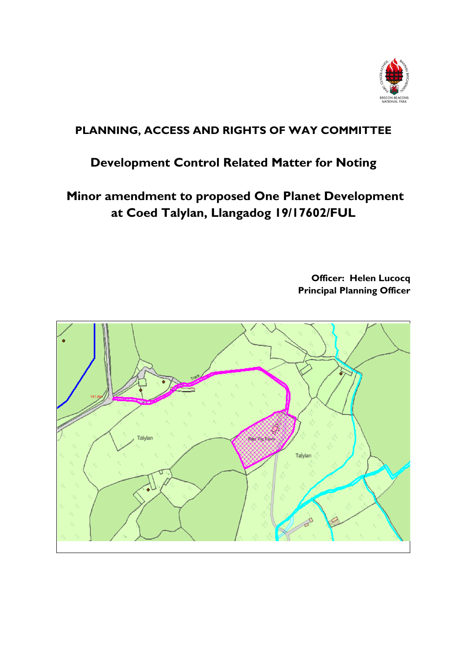

# **PLANNING, ACCESS AND RIGHTS OF WAY COMMITTEE**

# **Development Control Related Matter for Noting**

**Minor amendment to proposed One Planet Development at Coed Talylan, Llangadog 19/17602/FUL**

> **Officer: Helen Lucocq Principal Planning Officer**

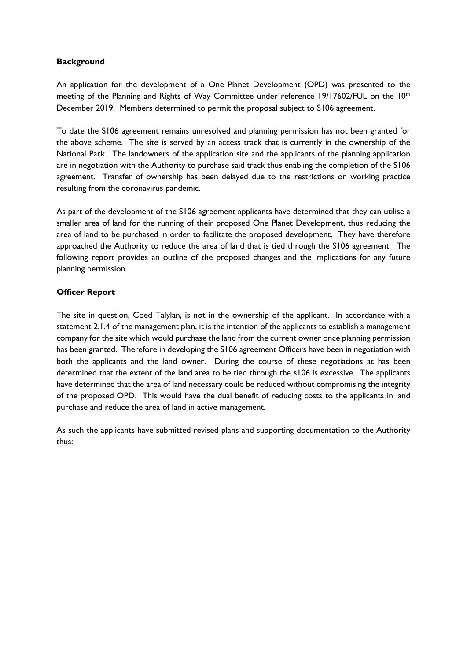#### **Background**

An application for the development of a One Planet Development (OPD) was presented to the meeting of the Planning and Rights of Way Committee under reference 19/17602/FUL on the 10<sup>th</sup> December 2019. Members determined to permit the proposal subject to S106 agreement.

To date the S106 agreement remains unresolved and planning permission has not been granted for the above scheme. The site is served by an access track that is currently in the ownership of the National Park. The landowners of the application site and the applicants of the planning application are in negotiation with the Authority to purchase said track thus enabling the completion of the S106 agreement. Transfer of ownership has been delayed due to the restrictions on working practice resulting from the coronavirus pandemic.

As part of the development of the S106 agreement applicants have determined that they can utilise a smaller area of land for the running of their proposed One Planet Development, thus reducing the area of land to be purchased in order to facilitate the proposed development. They have therefore approached the Authority to reduce the area of land that is tied through the S106 agreement. The following report provides an outline of the proposed changes and the implications for any future planning permission.

## **Officer Report**

The site in question, Coed Talylan, is not in the ownership of the applicant. In accordance with a statement 2.1.4 of the management plan, it is the intention of the applicants to establish a management company for the site which would purchase the land from the current owner once planning permission has been granted. Therefore in developing the S106 agreement Officers have been in negotiation with both the applicants and the land owner. During the course of these negotiations at has been determined that the extent of the land area to be tied through the s106 is excessive. The applicants have determined that the area of land necessary could be reduced without compromising the integrity of the proposed OPD. This would have the dual benefit of reducing costs to the applicants in land purchase and reduce the area of land in active management.

As such the applicants have submitted revised plans and supporting documentation to the Authority thus: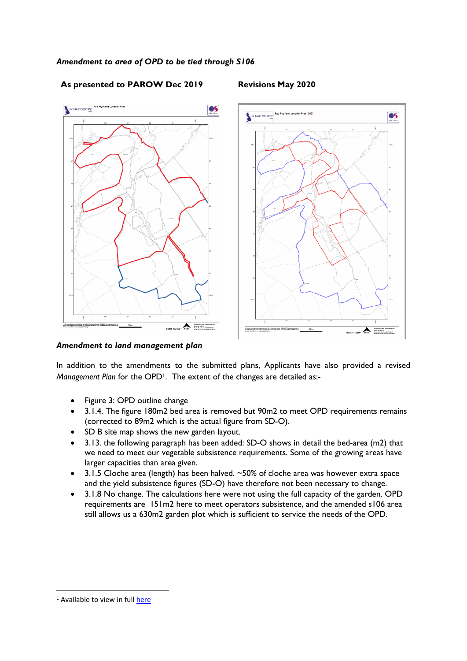

## **As presented to PAROW Dec 2019 Revisions May 2020**

#### *Amendment to land management plan*

In addition to the amendments to the submitted plans, Applicants have also provided a revised Management Plan for the OPD<sup>1</sup>. The extent of the changes are detailed as:-

- Figure 3: OPD outline change
- 3.1.4. The figure 180m2 bed area is removed but 90m2 to meet OPD requirements remains (corrected to 89m2 which is the actual figure from SD-O).
- SD B site map shows the new garden layout.
- 3.13. the following paragraph has been added: SD-O shows in detail the bed-area (m2) that we need to meet our vegetable subsistence requirements. Some of the growing areas have larger capacities than area given.
- 3.1.5 Cloche area (length) has been halved. ~50% of cloche area was however extra space and the yield subsistence figures (SD-O) have therefore not been necessary to change.
- 3.1.8 No change. The calculations here were not using the full capacity of the garden. OPD requirements are 151m2 here to meet operators subsistence, and the amended s106 area still allows us a 630m2 garden plot which is sufficient to service the needs of the OPD.

<sup>&</sup>lt;sup>1</sup> Available to view in full [here](https://planningonline.beacons-npa.gov.uk/online-applications/files/858401A82EBF643D4992FE7A3CDA2093/pdf/19_17602_FUL-LAND_MANAGEMENT_PLAN_MAY_2020_AMENDED-737265.pdf)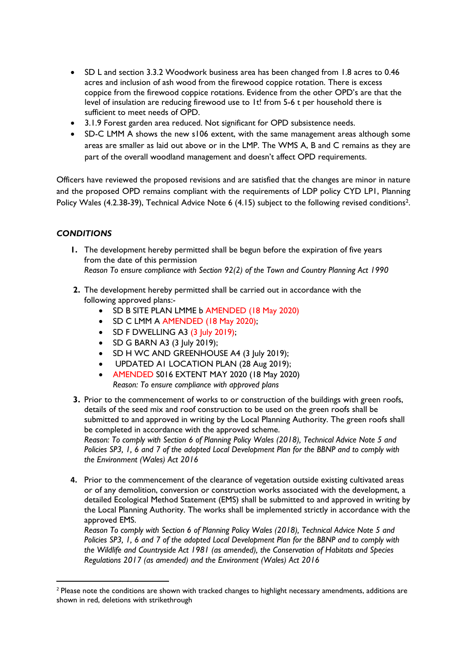- SD L and section 3.3.2 Woodwork business area has been changed from 1.8 acres to 0.46 acres and inclusion of ash wood from the firewood coppice rotation. There is excess coppice from the firewood coppice rotations. Evidence from the other OPD's are that the level of insulation are reducing firewood use to 1t! from 5-6 t per household there is sufficient to meet needs of OPD.
- 3.1.9 Forest garden area reduced. Not significant for OPD subsistence needs.
- SD-C LMM A shows the new s106 extent, with the same management areas although some areas are smaller as laid out above or in the LMP. The WMS A, B and C remains as they are part of the overall woodland management and doesn't affect OPD requirements.

Officers have reviewed the proposed revisions and are satisfied that the changes are minor in nature and the proposed OPD remains compliant with the requirements of LDP policy CYD LP1, Planning Policy Wales (4.2.38-39), Technical Advice Note 6 (4.15) subject to the following revised conditions<sup>2</sup>.

## *CONDITIONS*

- **1.** The development hereby permitted shall be begun before the expiration of five years from the date of this permission *Reason To ensure compliance with Section 92(2) of the Town and Country Planning Act 1990*
- **2.** The development hereby permitted shall be carried out in accordance with the following approved plans:-
	- SD B SITE PLAN LMME b AMENDED (18 May 2020)
	- SD C LMM A AMENDED (18 May 2020);
	- $\bullet$  SD F DWELLING A3 (3 July 2019);
	- SD G BARN A3 (3 July 2019);
	- SD H WC AND GREENHOUSE A4 (3 July 2019);
	- UPDATED A1 LOCATION PLAN (28 Aug 2019);
	- AMENDED S016 EXTENT MAY 2020 (18 May 2020) *Reason: To ensure compliance with approved plans*
- **3.** Prior to the commencement of works to or construction of the buildings with green roofs, details of the seed mix and roof construction to be used on the green roofs shall be submitted to and approved in writing by the Local Planning Authority. The green roofs shall be completed in accordance with the approved scheme.

*Reason: To comply with Section 6 of Planning Policy Wales (2018), Technical Advice Note 5 and* Policies SP3, 1, 6 and 7 of the adopted Local Development Plan for the BBNP and to comply with *the Environment (Wales) Act 2016*

**4.** Prior to the commencement of the clearance of vegetation outside existing cultivated areas or of any demolition, conversion or construction works associated with the development, a detailed Ecological Method Statement (EMS) shall be submitted to and approved in writing by the Local Planning Authority. The works shall be implemented strictly in accordance with the approved EMS.

*Reason To comply with Section 6 of Planning Policy Wales (2018), Technical Advice Note 5 and* Policies SP3, 1, 6 and 7 of the adopted Local Development Plan for the BBNP and to comply with *the Wildlife and Countryside Act 1981 (as amended), the Conservation of Habitats and Species Regulations 2017 (as amended) and the Environment (Wales) Act 2016*

<sup>&</sup>lt;sup>2</sup> Please note the conditions are shown with tracked changes to highlight necessary amendments, additions are shown in red, deletions with strikethrough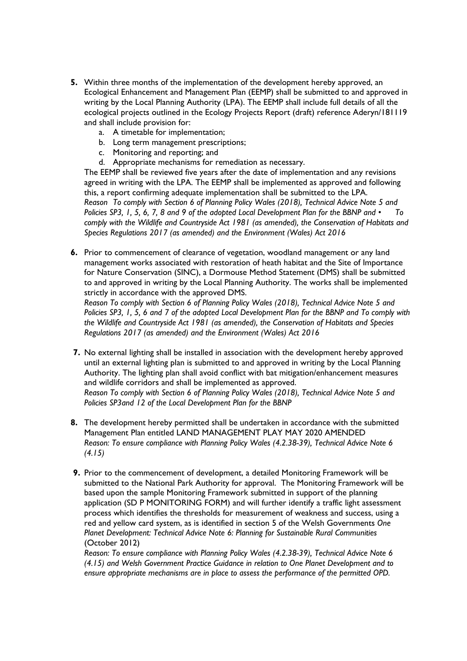- **5.** Within three months of the implementation of the development hereby approved, an Ecological Enhancement and Management Plan (EEMP) shall be submitted to and approved in writing by the Local Planning Authority (LPA). The EEMP shall include full details of all the ecological projects outlined in the Ecology Projects Report (draft) reference Aderyn/181119 and shall include provision for:
	- a. A timetable for implementation;
	- b. Long term management prescriptions;
	- c. Monitoring and reporting; and
	- d. Appropriate mechanisms for remediation as necessary.

The EEMP shall be reviewed five years after the date of implementation and any revisions agreed in writing with the LPA. The EEMP shall be implemented as approved and following this, a report confirming adequate implementation shall be submitted to the LPA. *Reason To comply with Section 6 of Planning Policy Wales (2018), Technical Advice Note 5 and* Policies SP3, 1, 5, 6, 7, 8 and 9 of the adopted Local Development Plan for the BBNP and • To *comply with the Wildlife and Countryside Act 1981 (as amended), the Conservation of Habitats and Species Regulations 2017 (as amended) and the Environment (Wales) Act 2016*

**6.** Prior to commencement of clearance of vegetation, woodland management or any land management works associated with restoration of heath habitat and the Site of Importance for Nature Conservation (SINC), a Dormouse Method Statement (DMS) shall be submitted to and approved in writing by the Local Planning Authority. The works shall be implemented strictly in accordance with the approved DMS.

*Reason To comply with Section 6 of Planning Policy Wales (2018), Technical Advice Note 5 and* Policies SP3, 1, 5, 6 and 7 of the adopted Local Development Plan for the BBNP and To comply with *the Wildlife and Countryside Act 1981 (as amended), the Conservation of Habitats and Species Regulations 2017 (as amended) and the Environment (Wales) Act 2016*

**7.** No external lighting shall be installed in association with the development hereby approved until an external lighting plan is submitted to and approved in writing by the Local Planning Authority. The lighting plan shall avoid conflict with bat mitigation/enhancement measures and wildlife corridors and shall be implemented as approved. *Reason To comply with Section 6 of Planning Policy Wales (2018), Technical Advice Note 5 and*

*Policies SP3and 12 of the Local Development Plan for the BBNP*

- **8.** The development hereby permitted shall be undertaken in accordance with the submitted Management Plan entitled LAND MANAGEMENT PLAY MAY 2020 AMENDED *Reason: To ensure compliance with Planning Policy Wales (4.2.38-39), Technical Advice Note 6 (4.15)*
- **9.** Prior to the commencement of development, a detailed Monitoring Framework will be submitted to the National Park Authority for approval. The Monitoring Framework will be based upon the sample Monitoring Framework submitted in support of the planning application (SD P MONITORING FORM) and will further identify a traffic light assessment process which identifies the thresholds for measurement of weakness and success, using a red and yellow card system, as is identified in section 5 of the Welsh Governments *One Planet Development: Technical Advice Note 6: Planning for Sustainable Rural Communities* (October 2012)

*Reason: To ensure compliance with Planning Policy Wales (4.2.38-39), Technical Advice Note 6 (4.15) and Welsh Government Practice Guidance in relation to One Planet Development and to ensure appropriate mechanisms are in place to assess the performance of the permitted OPD.*